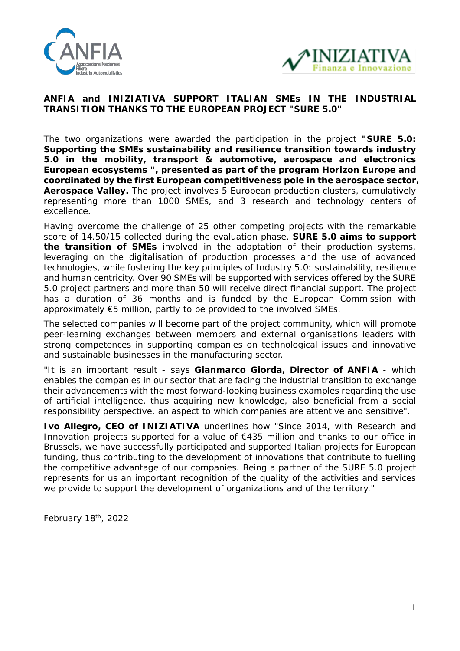



## **ANFIA and INIZIATIVA SUPPORT ITALIAN SMEs IN THE INDUSTRIAL TRANSITION THANKS TO THE EUROPEAN PROJECT "SURE 5.0"**

The two organizations were awarded the participation in the project *"SURE 5.0: Supporting the SMEs sustainability and resilience transition towards industry 5.0 in the mobility, transport & automotive, aerospace and electronics European ecosystems ",* **presented as part of the program Horizon Europe and coordinated by the first European competitiveness pole in the aerospace sector, Aerospace Valley.** The project involves 5 European production clusters, cumulatively representing more than 1000 SMEs, and 3 research and technology centers of excellence.

Having overcome the challenge of 25 other competing projects with the remarkable score of 14.50/15 collected during the evaluation phase, **SURE 5.0 aims to support the transition of SMEs** involved in the adaptation of their production systems, leveraging on the digitalisation of production processes and the use of advanced technologies, while fostering the key principles of Industry 5.0: sustainability, resilience and human centricity. Over 90 SMEs will be supported with services offered by the SURE 5.0 project partners and more than 50 will receive direct financial support. The project has a duration of 36 months and is funded by the European Commission with approximately €5 million, partly to be provided to the involved SMEs.

The selected companies will become part of the project community, which will promote peer-learning exchanges between members and external organisations leaders with strong competences in supporting companies on technological issues and innovative and sustainable businesses in the manufacturing sector.

"It is an important result - says **Gianmarco Giorda, Director of ANFIA** - which enables the companies in our sector that are facing the industrial transition to exchange their advancements with the most forward-looking business examples regarding the use of artificial intelligence, thus acquiring new knowledge, also beneficial from a social responsibility perspective, an aspect to which companies are attentive and sensitive".

**Ivo Allegro, CEO of INIZIATIVA** underlines how "Since 2014, with Research and Innovation projects supported for a value of €435 million and thanks to our office in Brussels, we have successfully participated and supported Italian projects for European funding, thus contributing to the development of innovations that contribute to fuelling the competitive advantage of our companies. Being a partner of the SURE 5.0 project represents for us an important recognition of the quality of the activities and services we provide to support the development of organizations and of the territory."

*February 18th, 2022*